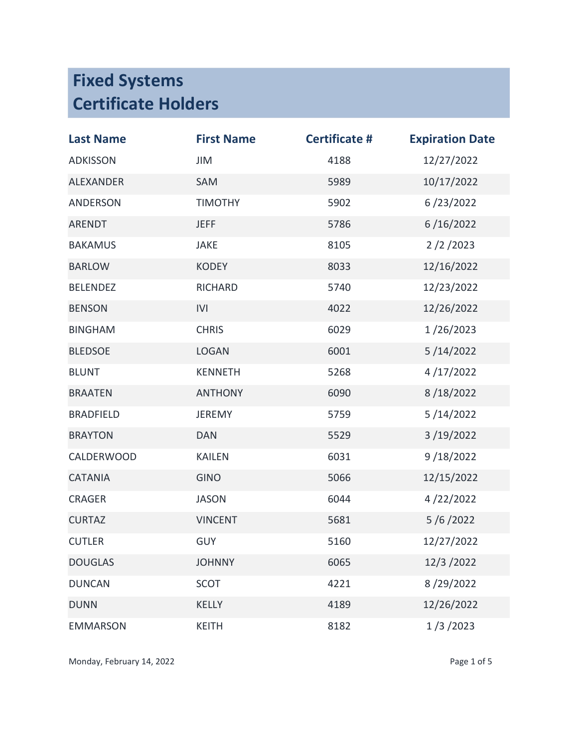| <b>Last Name</b>  | <b>First Name</b> | <b>Certificate #</b> | <b>Expiration Date</b> |
|-------------------|-------------------|----------------------|------------------------|
| <b>ADKISSON</b>   | JIM               | 4188                 | 12/27/2022             |
| <b>ALEXANDER</b>  | SAM               | 5989                 | 10/17/2022             |
| ANDERSON          | <b>TIMOTHY</b>    | 5902                 | 6/23/2022              |
| <b>ARENDT</b>     | <b>JEFF</b>       | 5786                 | 6/16/2022              |
| <b>BAKAMUS</b>    | <b>JAKE</b>       | 8105                 | 2/2/2023               |
| <b>BARLOW</b>     | <b>KODEY</b>      | 8033                 | 12/16/2022             |
| <b>BELENDEZ</b>   | <b>RICHARD</b>    | 5740                 | 12/23/2022             |
| <b>BENSON</b>     | IVI               | 4022                 | 12/26/2022             |
| <b>BINGHAM</b>    | <b>CHRIS</b>      | 6029                 | 1/26/2023              |
| <b>BLEDSOE</b>    | <b>LOGAN</b>      | 6001                 | 5/14/2022              |
| <b>BLUNT</b>      | <b>KENNETH</b>    | 5268                 | 4/17/2022              |
| <b>BRAATEN</b>    | <b>ANTHONY</b>    | 6090                 | 8/18/2022              |
| <b>BRADFIELD</b>  | <b>JEREMY</b>     | 5759                 | 5/14/2022              |
| <b>BRAYTON</b>    | <b>DAN</b>        | 5529                 | 3/19/2022              |
| <b>CALDERWOOD</b> | <b>KAILEN</b>     | 6031                 | 9/18/2022              |
| <b>CATANIA</b>    | <b>GINO</b>       | 5066                 | 12/15/2022             |
| <b>CRAGER</b>     | <b>JASON</b>      | 6044                 | 4/22/2022              |
| <b>CURTAZ</b>     | <b>VINCENT</b>    | 5681                 | 5/6/2022               |
| <b>CUTLER</b>     | <b>GUY</b>        | 5160                 | 12/27/2022             |
| <b>DOUGLAS</b>    | <b>JOHNNY</b>     | 6065                 | 12/3/2022              |
| <b>DUNCAN</b>     | <b>SCOT</b>       | 4221                 | 8/29/2022              |
| <b>DUNN</b>       | <b>KELLY</b>      | 4189                 | 12/26/2022             |
| <b>EMMARSON</b>   | <b>KEITH</b>      | 8182                 | 1/3/2023               |

Monday, February 14, 2022 and 1992 and 1993 and 1993 and 1993 and 1993 and 1993 and 1993 and 1994 and 1993 and 1993 and 1993 and 1993 and 1993 and 1993 and 1993 and 1993 and 1993 and 1993 and 1993 and 1993 and 1993 and 199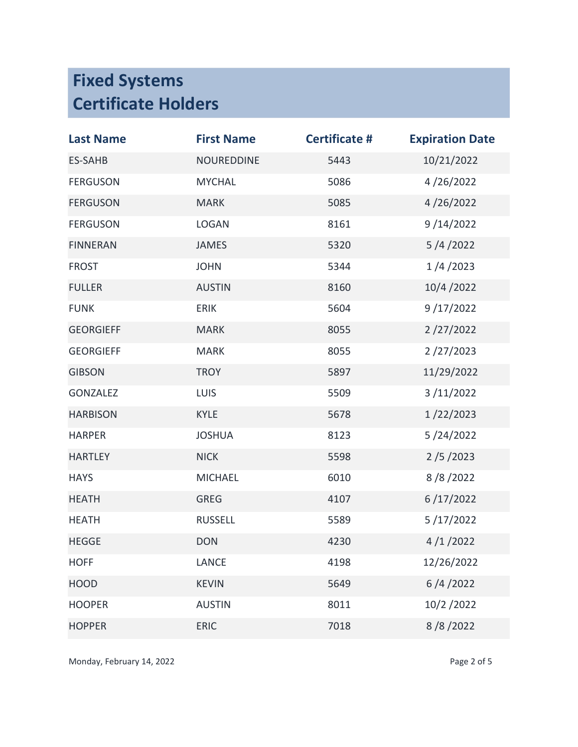| <b>Last Name</b> | <b>First Name</b> | <b>Certificate #</b> | <b>Expiration Date</b> |
|------------------|-------------------|----------------------|------------------------|
| <b>ES-SAHB</b>   | <b>NOUREDDINE</b> | 5443                 | 10/21/2022             |
| <b>FERGUSON</b>  | <b>MYCHAL</b>     | 5086                 | 4/26/2022              |
| <b>FERGUSON</b>  | <b>MARK</b>       | 5085                 | 4/26/2022              |
| <b>FERGUSON</b>  | <b>LOGAN</b>      | 8161                 | 9/14/2022              |
| <b>FINNERAN</b>  | <b>JAMES</b>      | 5320                 | 5/4/2022               |
| <b>FROST</b>     | <b>JOHN</b>       | 5344                 | 1/4/2023               |
| <b>FULLER</b>    | <b>AUSTIN</b>     | 8160                 | 10/4/2022              |
| <b>FUNK</b>      | <b>ERIK</b>       | 5604                 | 9/17/2022              |
| <b>GEORGIEFF</b> | <b>MARK</b>       | 8055                 | 2/27/2022              |
| <b>GEORGIEFF</b> | <b>MARK</b>       | 8055                 | 2/27/2023              |
| <b>GIBSON</b>    | <b>TROY</b>       | 5897                 | 11/29/2022             |
| <b>GONZALEZ</b>  | <b>LUIS</b>       | 5509                 | 3/11/2022              |
| <b>HARBISON</b>  | <b>KYLE</b>       | 5678                 | 1/22/2023              |
| <b>HARPER</b>    | <b>JOSHUA</b>     | 8123                 | 5/24/2022              |
| <b>HARTLEY</b>   | <b>NICK</b>       | 5598                 | 2/5/2023               |
| <b>HAYS</b>      | <b>MICHAEL</b>    | 6010                 | 8/8/2022               |
| <b>HEATH</b>     | <b>GREG</b>       | 4107                 | 6/17/2022              |
| <b>HEATH</b>     | <b>RUSSELL</b>    | 5589                 | 5/17/2022              |
| <b>HEGGE</b>     | <b>DON</b>        | 4230                 | 4/1/2022               |
| <b>HOFF</b>      | <b>LANCE</b>      | 4198                 | 12/26/2022             |
| <b>HOOD</b>      | <b>KEVIN</b>      | 5649                 | 6/4/2022               |
| <b>HOOPER</b>    | <b>AUSTIN</b>     | 8011                 | 10/2/2022              |
| <b>HOPPER</b>    | <b>ERIC</b>       | 7018                 | 8/8/2022               |

Monday, February 14, 2022 **Page 2 of 5**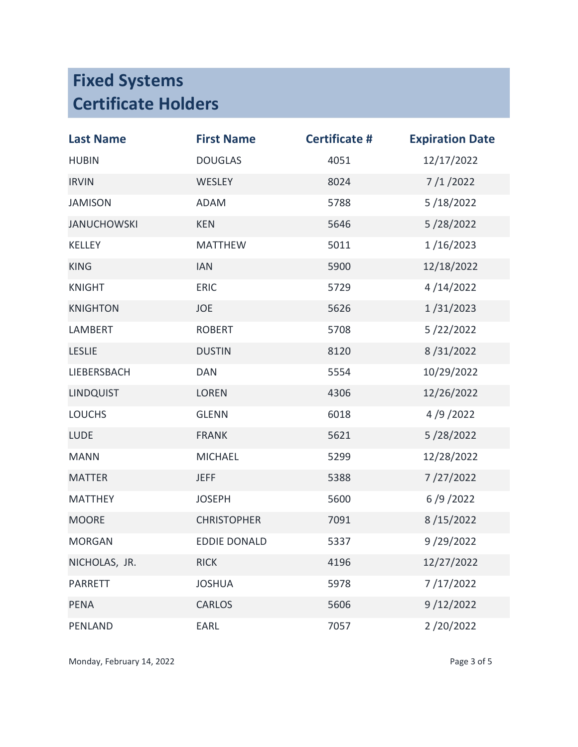| <b>Last Name</b>   | <b>First Name</b>   | <b>Certificate #</b> | <b>Expiration Date</b> |
|--------------------|---------------------|----------------------|------------------------|
| <b>HUBIN</b>       | <b>DOUGLAS</b>      | 4051                 | 12/17/2022             |
| <b>IRVIN</b>       | WESLEY              | 8024                 | 7/1/2022               |
| <b>JAMISON</b>     | <b>ADAM</b>         | 5788                 | 5/18/2022              |
| <b>JANUCHOWSKI</b> | <b>KEN</b>          | 5646                 | 5/28/2022              |
| KELLEY             | <b>MATTHEW</b>      | 5011                 | 1/16/2023              |
| <b>KING</b>        | <b>IAN</b>          | 5900                 | 12/18/2022             |
| <b>KNIGHT</b>      | <b>ERIC</b>         | 5729                 | 4/14/2022              |
| <b>KNIGHTON</b>    | JOE                 | 5626                 | 1/31/2023              |
| LAMBERT            | <b>ROBERT</b>       | 5708                 | 5/22/2022              |
| <b>LESLIE</b>      | <b>DUSTIN</b>       | 8120                 | 8/31/2022              |
| LIEBERSBACH        | <b>DAN</b>          | 5554                 | 10/29/2022             |
| <b>LINDQUIST</b>   | <b>LOREN</b>        | 4306                 | 12/26/2022             |
| <b>LOUCHS</b>      | <b>GLENN</b>        | 6018                 | 4/9/2022               |
| <b>LUDE</b>        | <b>FRANK</b>        | 5621                 | 5/28/2022              |
| <b>MANN</b>        | <b>MICHAEL</b>      | 5299                 | 12/28/2022             |
| <b>MATTER</b>      | <b>JEFF</b>         | 5388                 | 7/27/2022              |
| <b>MATTHEY</b>     | <b>JOSEPH</b>       | 5600                 | 6/9/2022               |
| <b>MOORE</b>       | <b>CHRISTOPHER</b>  | 7091                 | 8/15/2022              |
| <b>MORGAN</b>      | <b>EDDIE DONALD</b> | 5337                 | 9/29/2022              |
| NICHOLAS, JR.      | <b>RICK</b>         | 4196                 | 12/27/2022             |
| <b>PARRETT</b>     | <b>JOSHUA</b>       | 5978                 | 7/17/2022              |
| <b>PENA</b>        | <b>CARLOS</b>       | 5606                 | 9/12/2022              |
| PENLAND            | EARL                | 7057                 | 2/20/2022              |

Monday, February 14, 2022 **Page 3 of 5**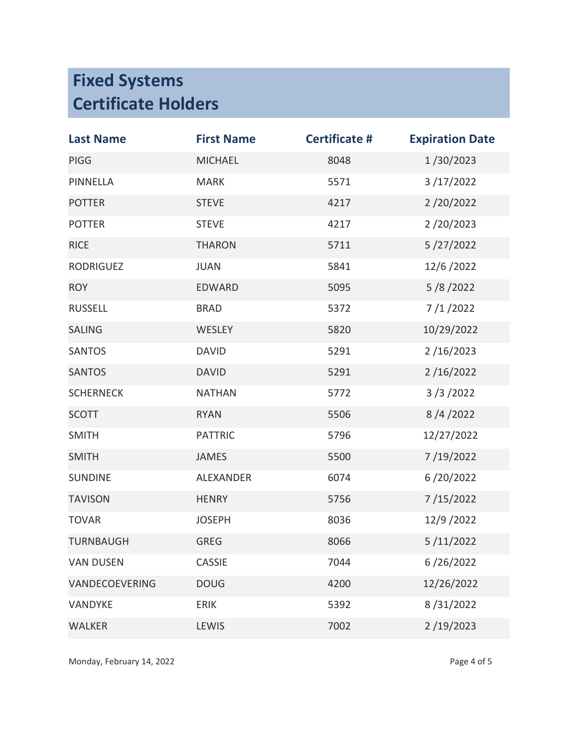| <b>Last Name</b> | <b>First Name</b> | <b>Certificate #</b> | <b>Expiration Date</b> |
|------------------|-------------------|----------------------|------------------------|
| PIGG             | <b>MICHAEL</b>    | 8048                 | 1/30/2023              |
| PINNELLA         | <b>MARK</b>       | 5571                 | 3/17/2022              |
| <b>POTTER</b>    | <b>STEVE</b>      | 4217                 | 2/20/2022              |
| <b>POTTER</b>    | <b>STEVE</b>      | 4217                 | 2/20/2023              |
| <b>RICE</b>      | <b>THARON</b>     | 5711                 | 5/27/2022              |
| <b>RODRIGUEZ</b> | <b>JUAN</b>       | 5841                 | 12/6/2022              |
| <b>ROY</b>       | EDWARD            | 5095                 | 5/8/2022               |
| <b>RUSSELL</b>   | <b>BRAD</b>       | 5372                 | 7/1/2022               |
| <b>SALING</b>    | WESLEY            | 5820                 | 10/29/2022             |
| <b>SANTOS</b>    | <b>DAVID</b>      | 5291                 | 2/16/2023              |
| <b>SANTOS</b>    | <b>DAVID</b>      | 5291                 | 2/16/2022              |
| <b>SCHERNECK</b> | <b>NATHAN</b>     | 5772                 | 3/3/2022               |
| <b>SCOTT</b>     | <b>RYAN</b>       | 5506                 | 8/4/2022               |
| <b>SMITH</b>     | <b>PATTRIC</b>    | 5796                 | 12/27/2022             |
| <b>SMITH</b>     | <b>JAMES</b>      | 5500                 | 7/19/2022              |
| <b>SUNDINE</b>   | <b>ALEXANDER</b>  | 6074                 | 6/20/2022              |
| <b>TAVISON</b>   | <b>HENRY</b>      | 5756                 | 7/15/2022              |
| <b>TOVAR</b>     | <b>JOSEPH</b>     | 8036                 | 12/9/2022              |
| <b>TURNBAUGH</b> | <b>GREG</b>       | 8066                 | 5/11/2022              |
| <b>VAN DUSEN</b> | <b>CASSIE</b>     | 7044                 | 6/26/2022              |
| VANDECOEVERING   | <b>DOUG</b>       | 4200                 | 12/26/2022             |
| VANDYKE          | <b>ERIK</b>       | 5392                 | 8/31/2022              |
| <b>WALKER</b>    | <b>LEWIS</b>      | 7002                 | 2/19/2023              |

Monday, February 14, 2022 and 1992 and 1993 and 1993 and 1993 and 1993 and 1993 and 1993 and 1994 and 1994 and 1994 and 1994 and 1994 and 1994 and 1994 and 1994 and 1994 and 1994 and 1994 and 1994 and 1994 and 1994 and 199